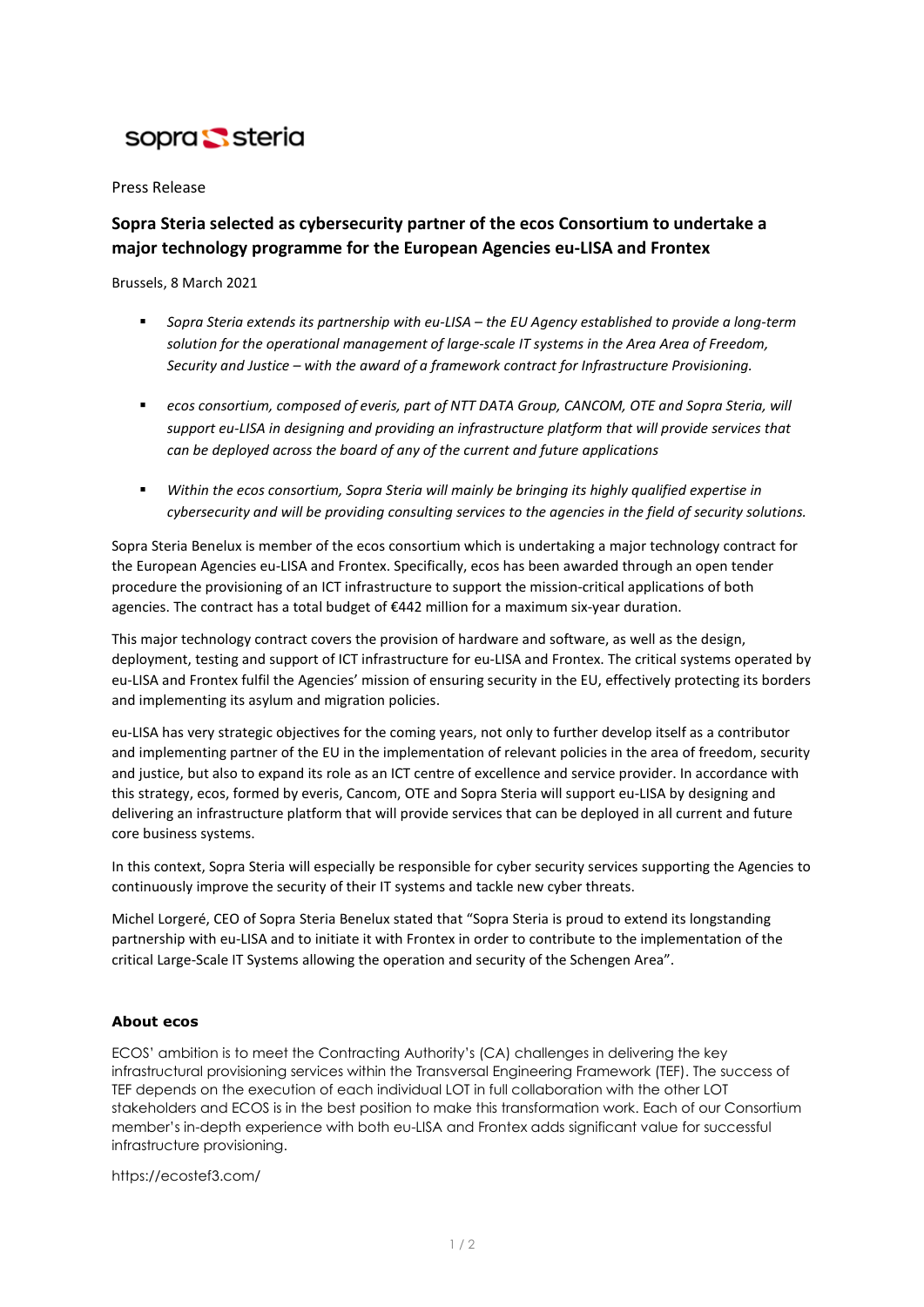

Press Release

# **Sopra Steria selected as cybersecurity partner of the ecos Consortium to undertake a major technology programme for the European Agencies eu-LISA and Frontex**

Brussels, 8 March 2021

- *Sopra Steria extends its partnership with eu-LISA – the EU Agency established to provide a long-term solution for the operational management of large-scale IT systems in the Area Area of Freedom, Security and Justice – with the award of a framework contract for Infrastructure Provisioning.*
- **ecos consortium, composed of everis, part of NTT DATA Group, CANCOM, OTE and Sopra Steria, will** *support eu-LISA in designing and providing an infrastructure platform that will provide services that can be deployed across the board of any of the current and future applications*
- *Within the ecos consortium, Sopra Steria will mainly be bringing its highly qualified expertise in cybersecurity and will be providing consulting services to the agencies in the field of security solutions.*

Sopra Steria Benelux is member of the ecos consortium which is undertaking a major technology contract for the European Agencies eu-LISA and Frontex. Specifically, ecos has been awarded through an open tender procedure the provisioning of an ICT infrastructure to support the mission-critical applications of both agencies. The contract has a total budget of €442 million for a maximum six-year duration.

This major technology contract covers the provision of hardware and software, as well as the design, deployment, testing and support of ICT infrastructure for eu-LISA and Frontex. The critical systems operated by eu-LISA and Frontex fulfil the Agencies' mission of ensuring security in the EU, effectively protecting its borders and implementing its asylum and migration policies.

eu-LISA has very strategic objectives for the coming years, not only to further develop itself as a contributor and implementing partner of the EU in the implementation of relevant policies in the area of freedom, security and justice, but also to expand its role as an ICT centre of excellence and service provider. In accordance with this strategy, ecos, formed by everis, Cancom, OTE and Sopra Steria will support eu-LISA by designing and delivering an infrastructure platform that will provide services that can be deployed in all current and future core business systems.

In this context, Sopra Steria will especially be responsible for cyber security services supporting the Agencies to continuously improve the security of their IT systems and tackle new cyber threats.

Michel Lorgeré, CEO of Sopra Steria Benelux stated that "Sopra Steria is proud to extend its longstanding partnership with eu-LISA and to initiate it with Frontex in order to contribute to the implementation of the critical Large-Scale IT Systems allowing the operation and security of the Schengen Area".

# **About ecos**

ECOS' ambition is to meet the Contracting Authority's (CA) challenges in delivering the key infrastructural provisioning services within the Transversal Engineering Framework (TEF). The success of TEF depends on the execution of each individual LOT in full collaboration with the other LOT stakeholders and ECOS is in the best position to make this transformation work. Each of our Consortium member's in-depth experience with both eu-LISA and Frontex adds significant value for successful infrastructure provisioning.

<https://ecostef3.com/>